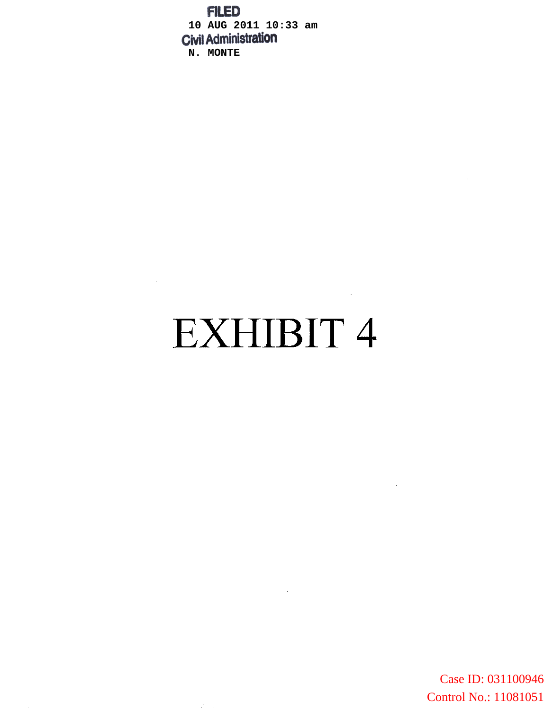**FILED 10 AUG 2011 10:33 am N. MONTE**

# EXHIBIT 4

 $\mathcal{L}^{\mathcal{L}}(\mathcal{L}^{\mathcal{L}}(\mathcal{L}^{\mathcal{L}}(\mathcal{L}^{\mathcal{L}})))$ 

 $\mathcal{F}^{\mathcal{A}}$ 

 $\sim$   $\sim$ 

 $\mathcal{L}^{\text{max}}_{\text{max}}$ 

Case ID: 031100946 Control No.: 11081051

 $\sim 10^7$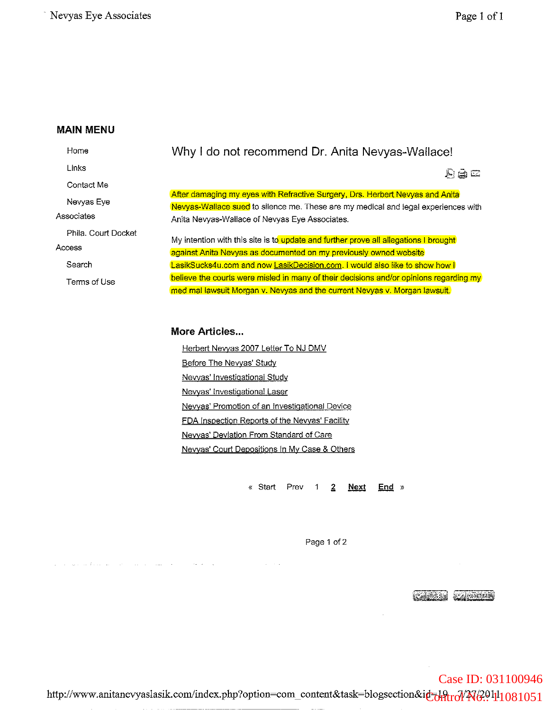Home Links Contact Me Nevyas Eye **Associates** Phila. Court Docket **Access** Search Tenms of Use

## Why I do not recommend Dr. Anita Nevyas-Wallace!

 $E \otimes E$ 

After damaging my eyes with Refractive Surgery, Drs. Herbert Nevyas and Anita Nevyas-Wallace sued to silence me. These are my medical and legal experiences with Anita Nevyas-Wallace of Nevyas Eye Associates.

My intention with this site is to update and further prove all allegations I brought **against Anita Nevyas as documented on my previously owned website** LasikSucks4u.com and now **LasikDecision.com. I would also like to show how I believe the courts were misled in many of their decisions and/or opinions regarding my** med mal iawsuit Morgan v. Nevyas and the current Nevyas v. Morgan lawsuit.

#### **More Articles...**

Herbert Newas 2007 Letter To NJ DMV Before The Nevvas' Study Newas' Investigational Study **Nevyas' Investigational Laser** Newas' Promotion of an Investigational Device FDA Inspection Reports of the Nevvas' Facility Newas' Deviation From Standard of Care Nevvas' Court Depositions In My Case & Others

> «Start Prev  $\boldsymbol{2}$ **Next**  $End \rightarrow$

> > Page 1 of 2

**CONSTRUCTION** 

Case ID: 031100946

http://www.anitanevyaslasik.com/index.php?option=com\_content&task=blogsection&id=J9trd/A769.141081051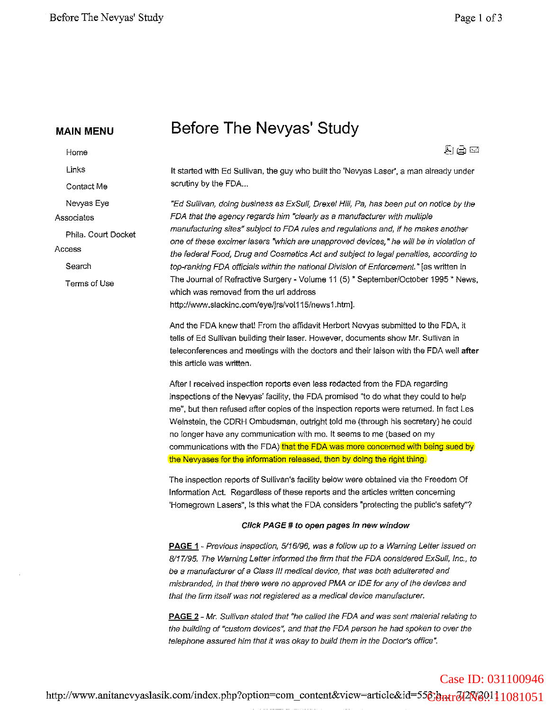Contact Me Nevyas Eye

Phila. Court Docket

Home Links

**Associates**

Search

Terms of Use

Access

## **Before The Nevyas' Study**

声画画

It started with Ed Sullivan, the guy who built the 'Nevyas Laser', a man already under scrutiny by the FDA...

"Ed Sullivan, doing business as ExSull, Drexel HIli, Pa, has been put on notice by Ihe FDA that the agency regards him "clearly as a manufacturer with multiple manufacturing sites" subject to FDA rules and regulations and, if he makes another **one ofthese excimerlasers "which are unapproved devices, "he will be in violation of** the federal Food, Drug and Cosmetics Act and subject to legal penalties, according to top-ranking FDA officials within the national Division of Enforcement." [as written in The Journal of Refractive Surgery - Volume 11 (5) \* September/October 1995 \* News, which was removed from the uri address http://www.slackinc.com/eye/jrs/vol115/news1.html.

And the FDA knew that! From the affidavit Herbert Nevyas submitted to the FDA, it tells of Ed Sullivan building their laser. However, documents show Mr. Sullivan in teleconferences and meetings with the doctors and their laison with the FDA well after **this article was written.**

After I received inspection reports even less redacted from the FDA regarding inspections of the Nevyas' facility, the FDA promised "to do what they could to help me", but then refused after copies of the inspection reports were returned. In fact Les Weinstein, the CDRH Ombudsman, outright told me (through his secretary) he could no longer have any communication with me. It seems to me (based on my communications with the FDA) that the FDA was more concerned with being sued by the Nevyases for the information released, then by doing the right thing.

The inspection reports of Sullivan's facility below were obtained via the Freedom Of Information Act. Regardless of these reports and the articles written concerning 'Homegrown Lasers", is this what the FDA considers "protecting the public's safety"?

#### Click PAGE # to open pages in new window

PAGE 1 - Previous inspection, 5/16/96, was a follow up to a Warning Letter issued on 8/17/95. The Warning Letter informed the firm that the FDA considered ExSull, Inc., to be a manufacturer of a Class III medical device, that was both adulterated and misbranded, in that there were no approved PMA or IDE for any of the devices and **that the firm itself was not registered as a medical device manufacturer.**

PAGE 2 - Mr. Sullivan stated that "he called the FDA and was sent material relating to the building of "custom deVices", and that the FDA person he had spoken to over the **telephone assured him that it was okay to build them in the Doclor's office".**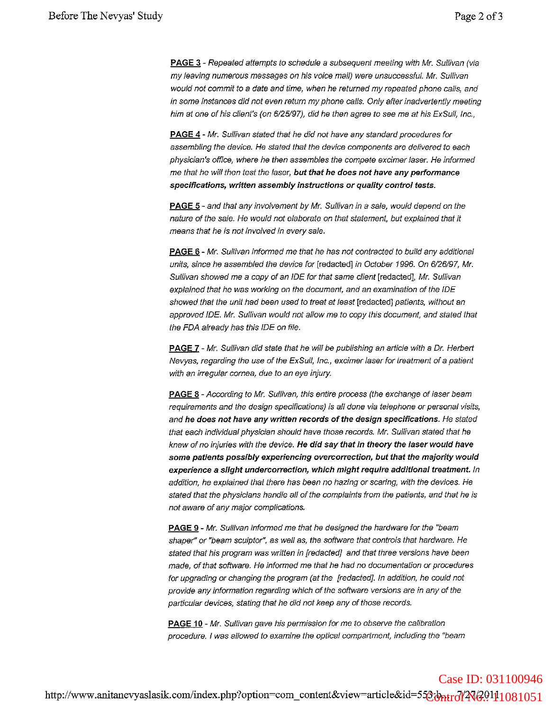PAGE 3 - Repeated attempts to schedule a subsequent meeting with Mr. Sullivan (via my leaving numerous messages on his voice mail) were unsuccessful. Mr. Sullivan would not commit to a date and time, when he returned my repeated phone calls, and in some instances did not even return my phone calls. Only after inadvertently meeting him at one of his client's (on 6/25/97), did he then agree to see me at his ExSull, Inc.,

PAGE 4 - Mr. Sullivan stated that he did not have any standard procedures for **assembling the device. He stated that the device components are delivered to each** physician's office, where he then assembles the compete excimer iaser. He informed me that he will then test the laser, but that he does not have any performance **specifications, written assembly instructions or quality control tests.**

**PAGE 5** - and that any involvement by Mr. Sullivan in a sale, would depend on the nature of the sale. He would not elaborate on that statement, but explained that it **means that he is not involved in every safe.**

PAGE 6 - Mr. Sullivan informed me that he has not contracted to build any additional units, since he assembled the device for [redactedl in October 1996. On 6/26/97, Mr. Sullivan showed me a copy of an IDE for that same client [redacted], Mr. Sullivan **explained that he was working on the document, and an examination of the IDE** showed that the unit had been used to treat at least [redacted] patients, without an approved IDE. Mr. Sullivan would not allow me to copy this document, and stated Ihat the FDA already has this IDE on file.

PAGE 7 - Mr. Sullivan did state that he will be publishing an article with a Dr. Herbert Nevyas, regarding the use of the ExSull, Inc., excimer laser for treatment of a patient with an irregular cornea, due to an eye injury.

PAGE 8 - According to Mr. Sullivan, this entire process (the exchange of laser beam **requirements and the design specifications) is all done via telephone or personal visns,** and he does not have any written records of the design specifications. He stated that each individual physician should have those records. Mr. Sullivan stated that he knew of no injuries with the device. He did say that in theory the laser woutd have some patients possibly experiencing overcorrection, but that the majority woutd experience a slight undercorrection, which might require additional treatment. In addition, he explained that there has been no hazing or scaring, with the devices. He stated that the physicians handle all of the complaints from the patients, and that he is **not aware of any major complications.**

PAGE 9 - Mr. Sullivan informed me that he designed the hardware for the "beam shaper" or "beam sculptor", as well as, the software that controls that hardware. He stated that his program was written in [redacted] and that three versions have been **made, of that software. He informed me that he had no documentation or procedures** for upgrading or changing the program (at the [redacted]. In addition, he could not **provide any information regarding which ofthe software versions are in any ofthe** particular devices, stating that he did not keep any of those records.

**PAGE 10 - Mr. Sullivan gave his permission for me to observe the calibration procedure. I was allowed to examine the optical compartment, including the "beam**

## http://www.anitanevyaslasik.com/index.php?option=com\_content&view=article&id=55<mark>&vhtrd/AV40.0101051</mark> Case ID: 031100946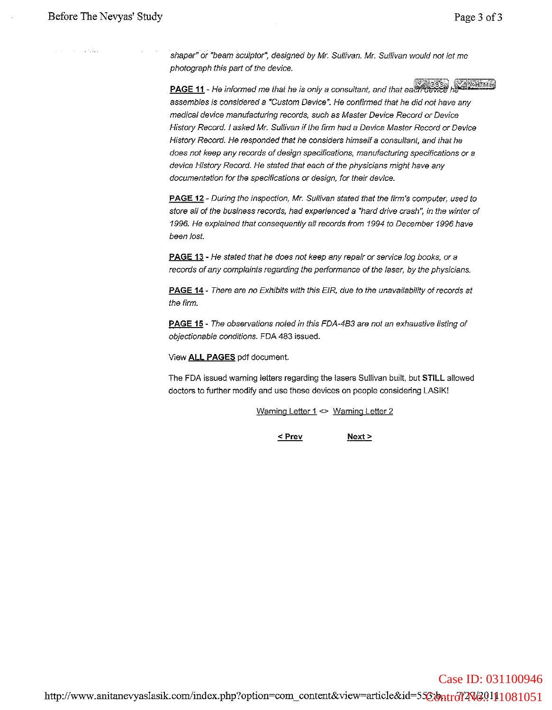**Contract Contract** 

shaper" or "beam sculptor", designed by Mr, Sullivan. Mr, Sullivan would not let me photograph this part of the device,

 $~$  **PAGE 11** - He informed me that he is only a consultant, and that each device  $h$   $\frac{1}{2}$   $\frac{1}{2}$   $\frac{1}{2}$ assembles is considered a "Custom Device", He confirmed that he did not have any medical device manufacturing records, such as Master Device Record or Device History Record, I asked Mr. Sullivan if the firm had a Device Master Record or Device History Record, He responded that he considers himself a consultant, and that he **does not keep any records ofdesign specifications, manufacturing specifications or a** device History Record, He stated that each of the physicians might have any documentation for the specifications or design, for their device,

**PAGE 12** - During the inspection, Mr. Sullivan stated that the firm's computer, used to store all of the business records, had experienced a "hard drive crash", in the winter of *1996,* He explained that consequently all records from 1994 to December 1996 have been lost

**PAGE** 13 - He stated that he does not keep any repair or service iog books, or a records of any complaints regarding the performance of the laser, by the physicians,

**PAGE 14** - There are no Exhibits with this EIR, due to the unavailability of records at the firm.

**PAGE** 15 - The observations noted in this FDA-483 are not an exhaustive listing of objectionabie conditions, FDA 483 issued,

View **ALL PAGES** pdf document

The FDA issued warning ietters regarding the iasers Suliivan built, but STILL allowed doctors to further modify and use these devices on people considering LASiK!

**Warning Letter 1 <> Warning Letter 2**

 $Next >$  $<$  Prev

http://www.anitanevyaslasik.com/index.php?option=com\_content&view=article&id=55<mark>&bntrdIAW2011</mark>1081051 Case ID: 031100946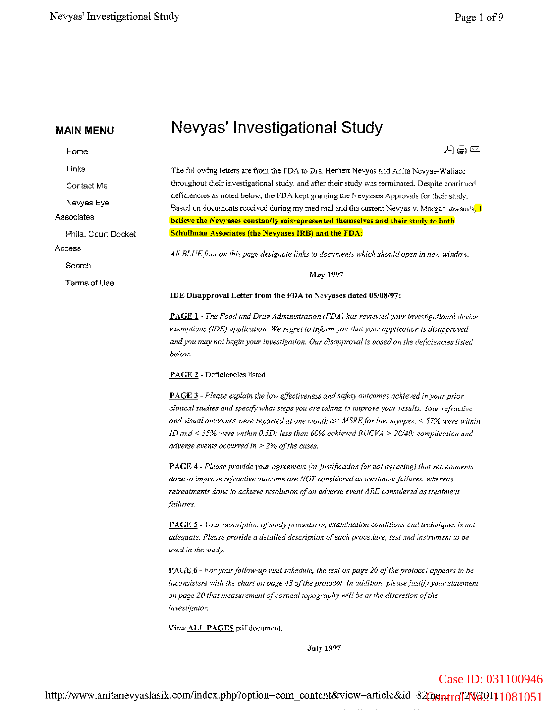Contact Me Nevyas Eye

Phila. Court Docket

Home

Links

Associates

Search

Terms of Use

Access

Nevyas' Investigational Study

人自己

The following letters are from the FDA to Drs. Herbert Nevyas and Anita Nevyas-Wallace throughout their investigational study, and after their study was tetminated. Despite continued deficiencies as noted below, the FDA kept granting the Nevyases Approvals for their study. Based on documents received during my med mal and the current Nevyas v. Morgan lawsuits,  $I$ believe the Nevyases constantly misrepresented themselves and their study to both Schullman Associates (the Nevyases IRB) and the FDA:

*All BLUE* font on this page designate links to documents which should open in new window.

May 1997

IDE Disapproval Letter from the FDA to Nevyases dated 05/08/97:

PAGE **1** - *The Food and Dntg Administration (FDA) has revievl'edyour investigational device exemptions (IDE) application. We regret to inform you that YOllr application is disapproved andyou may not begin your investigation. Our disapproval is based on the deficiencies listed below.*

PAGE 2 - Deficiencies listed.

PAGE 3 - *Please explain the low effectiveness and safety outcomes achieved inYOllr prior clinical studies and specify what steps you are taking to improve your results. YOllr refractive and visual outcomes were reported at one month as: MSREfor low myopes.* < 57% *H'ere within JD and* < 35% *were within 0.5D; less than 60% achieved BUCVA* > *20/40: complication and adverse events occurred in* > 2% *of the cases.* 

PAGE 4 - *Please provide your agreement (orjustification/or not agreeing) that retreatments done to improve refractive outcome are* NOT *considered as treatmentfailures, whereas retreatments done to achieve resolution ofan adverse event ARE considered as treatment failures.*

PAGE 5 - *Your description ofstudy procedures, examination conditions and techniques is not adequate. Please provide a detailed description ofeach procedure, test and instrument to be used in the study.*

PAGE 6 - *For yourfollow-up visit schedule, the text on page 20 ofthe protocol appears to be inconsistent with the chart on page* 43 *ofthe protocol. In addition, please justify yOllr statement on* page 20 that measurement of corneal topography will be at the discretion of the *investigator.*

View ALL PAGES pdf document.

Joly 1997

Case ID: 031100946

http://www.anitanevyaslasik.com/index.php?option=com\_content&view=article&id=82<del>008ntr712W70</del>.0111081051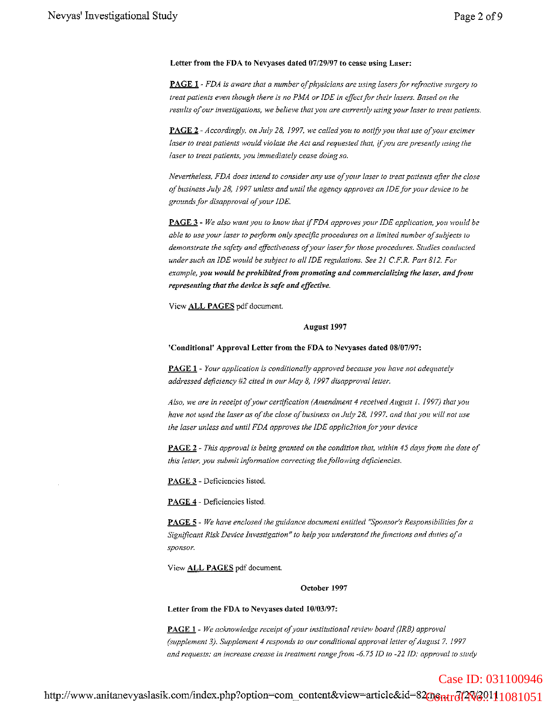#### Letter from the FDA to Nevyases dated *07129/97* to cease using Laser:

PAGE 1 - *FDA is aware that a number ofphysicians are using lasersfor refractive surgery* <sup>10</sup> *treat patients even though there is no PMA or IDE in effect/or their lasers. Based on the results ofour investigations, we believe that you are currently using your laser to treat patients.*

PAGE 2 - *Accordingly, on July* 28, *1997, we called you to notifY yOIl that lise afyollY excimer laser to treat patients would violate the Act and requested that,* if*you are presently lising the laser to treat patients, you immediately cease doing so.*

*Nevertheless, FDA does intend to consider any use of your laser to treat patients after the close a/business July* 28, 1997 *unless and until the agency approves an IDE/or your device to be grounds/or disapproval ofyour IDE.*

PAGE 3 - *We also want you to know that* if*FDA approves YOllr IDE application,* yOlt *would be able* to use your laser to perform only specific procedures on a limited number of subjects to *demonstrate the safety and effectiveness ofyour laserfor those procedures. Studies conducted undersuch an IDE would be subject to all IDE regulations. See* 21 *C.F.R. Part* 812. *For example, you would be prohibited/rom promoting and commercializing the laser, andfrom representing that the device is safe and effective.*

View ALL PAGES pdf document.

#### August 1997

'Conditional' Approval Letter from the FDA to Nevyases dated 08/07/97:

PAGE 1 - *Your application is conditionally approved because* yOlt *have not adequately addressed deficiency* #2 *cited in our May* 8, 1997 *disapproval letter.*

*Also, we are in receipt ofyour certification (Amendment* 4 *received August I,* 1997) *that you have not used the laser as of the close of business on July 28, 1997, and that you will not use the laser unless and until FDA approves the IDE applic2tionfor your device*

PAGE 2 - *This approval is being granted on the condition that, within* 45 *days/rom the date of this letter, you submit information correcting thefollowing deficiencies.*

PAGE 3 - Deficiencies listed.

PAGE 4 - Deficiencies listed.

PAGE 5 - *We have enclosed the guidance document entitled "Sponsor's Responsibilitiesfor a Significant Risk Device Investigation" to help you understand thefimclions and duties ofa sponsor.*

View **ALL PAGES** pdf document.

#### October 1997

Letter from the FDA to Nevyases dated *10/03/97:*

PAGE I - *We acknowledge receipt ofyour institutional review board (IRS) approval (supplement* 3). *Supplement* 4 *responds to our conditional approval letter o.fAugust* 7, *1997 and requests: an increase crease in treatment range from* -6.75/D *to* -22 *ID: approval to study*

http://www.anitanevyaslasik.com/index.php?option=com\_content&view=article&id=82<del>008ntr6J2W6</del>0111081051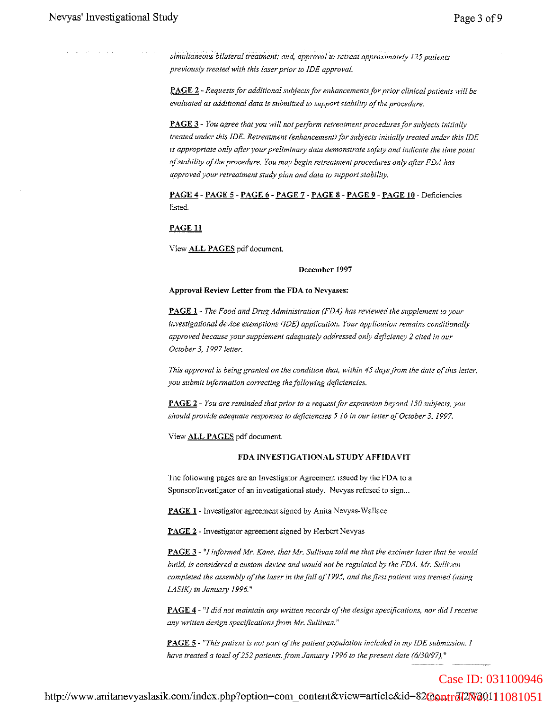*simultaneous bilateral treatment; and, approval to retreat approximately* 125 patients *previously treated with this laserprior to JDE approval.*

PAGE 2 - *Requestsfor additional subjectsfor enhancementsfor prior clinical patieni.s will be evaluated as additional data is submitted to support stability afthe procedure.*

PAGE 3 - *You agree that you will notperform retreatment proceduresfor subjects initially treated under this IDE. Retreatment (enhancement) for subjects initially treated under this IDE is appropriate only after your preliminmy data demonstrate safety and indicate the time point a/stability a/the procedure. You may begin* relyea/men! *procedures only after FDA has approved your retreatment study plan and data to support stability.* 

PAGE 4 - PAGE 5 - PAGE 6 - PAGE 7 - PAGE 8 - PAGE 9 - PAGE 10 - Deficiencies listed.

PAGE 11

View ALL PAGES pdf document.

#### December 1997

#### Approval Review Letter from the FDA to Nevyases:

PAGE 1- *The Food and Dnlg Administration (FDA) has reviewed the supplement to your investigational device exemptions* (IDE) *application. Your application remains conditionally approved because yoursupplement adequately addressed only deficiency* 2 *cited in our October* 3, 1997 *letter.*

*This approval is being granted on the condition that, within* 45 *daysfrom the date ofthis letter. you submit infonnation correcting thefollowing deficiencies.*

PAGE 2 - *You are reminded that prior to a requestfor expansion beyond 150 subjects. you shouldprovide adequate responses to deficiencies* 5 16 *in Ollr letter ofOctober* 3, 1997.

View ALL PAGES pdf document.

#### FDA INVESTIGATIONAL STUDY AFFIDAVIT

The following pages are an Investigator Agreement issued by the FDA to a Sponsor/Investigator of an investigational study. Nevyas refused to sign..

PAGE 1 - Investigator agreement signed by Anita Nevyas-Wallace

PAGE 2 - Investigator agreement signed by Herbert Nevyas

PAGE 3 - "I *infonned Mr. Kane, that Afr. Sullivan told me that the excimerlaser that he H'ould build. is considered a custom device and would not be regulated by the FDA. Mr. Sullivan completed the assembly ofthe laser in the fall of*J995, *and thefirst patient was treated (using LASIK) in January 1996."*

PAGE 4 - "1 *did not maintain any written records o/the design specifications, nor did* 1*receive any written design spec(ficationsfrom Mr. Sullivan."*

PAGE 5 - *"This patient is not part ofthe patient population included in my fDE submission. 1 have treated a total of252 patients, from January* 1996 *to the present date (6/30/97),"*

http://www.anitanevyaslasik.com/index.php?option=com\_content&view=article&id=82@0ntr7427V20111081051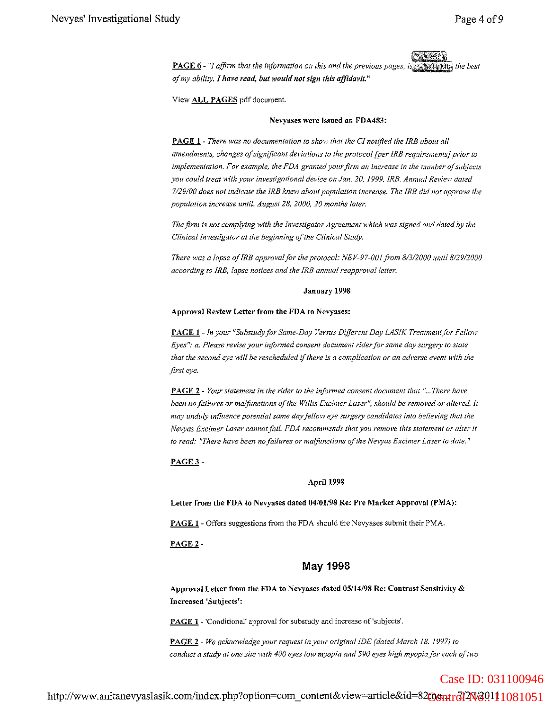PAGE 6 - "1 *affirm that the infonnation on this and the previous pages. i ofmy ability. I have read, but would not sign this affidavit. <sup>11</sup>*

View ALL PAGES pdf document.

#### Nevyases were issued an FOA483:

PAGE **1** - *There was no documentation to 3hm,v that the CI notified the IRS abOllt all amendments, changes ofsignificant deviations to the protocol [per IRS requirements} prior to implementation. For example, the FDA granted your firm an increase in the number of subjects you could treat with your investigational device on Jan. 20,* 1999. *IRE. Annual ReFlew dated 7/29/00 does not indicate the IRS knew about population increase. The IRS did not approl'e the population increase until. August 28.2000,20 months later.*

*The firm is not complying with the Investigator Agreement which was signed and dated by the Clinical Investigator at the beginning ofthe Clinical Study.*

*There was a lapse oflRB approvalfor the protocol: NEV-97-001 Fom 8/3/2000 IIlllil8/29/2000 according to IRB, lapse notices and the IRE annual reapproved letter.*

#### January 1998

#### Approval Review Letter from the FDA to Nevyases:

PAGE **1** *-In your "Substudyfor Same-Day Versus Different Day LASIK Treatment/or Fellow Eyes": a. Please revise your informed consent document riderfor same day surgery to state that the second eye* will be *rescheduled* if *there is a complication or an adverse event* with *the first eye.*

PAGE 2 - *Your statement in the rider to the informed consent document thm* "... *There have been no failures or malfunctions ofthe Willis Excimer Laser", should be removed or altered. It may unduly influence potential same day fellow eye surgery candidates into believing that the Nevyas Excimer Laser cannotfail. FDA recommends that you remove this statement or aIrel' it to read: l'There have been nofailures or ma!fimctions ofthe Nevyas Excimer Laser to date."*

#### PAGE 3 -

#### April 1998

Letter from the FDA to Nevyases dated *04/01198* Re: Pre Market Approval (PMA):

PAGE 1 - Offers suggestions from the FDA should the Nevyases submit their PMA.

PAGE 2 -

#### May 1998

Approval Letter from the FDA to Nevyases dated 05/14/98 Re: Contrast Sensitivity & Increased 'Subjects':

PAGE **1** - 'Conditional' approval for substudy and increase of'subjects'.

PAGE 2 - *We acknowledge your request in your original 1DE (dated March* 18. 1997) *to conduct a study at one site with 400 eyes low myopia and 590 eyes high myopia/or each oftwo*

http://www.anitanevyaslasik.com/index.php?option=com\_content&view=article&id=82<del>008ntrdJ2We0</del>9111081051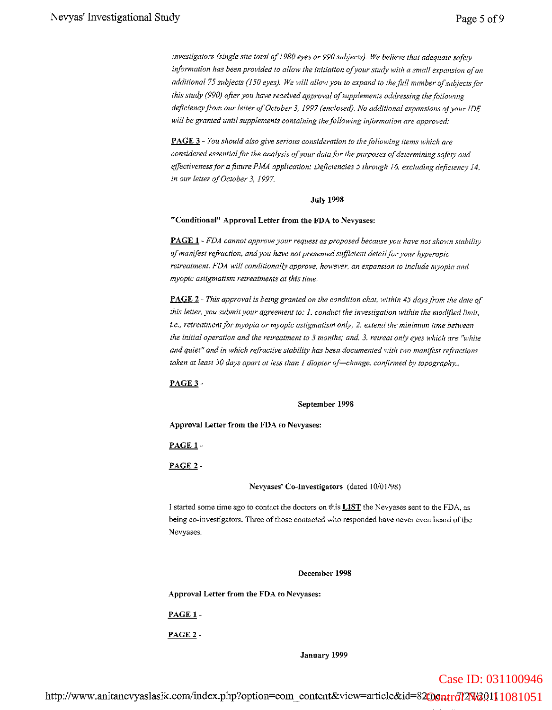*investigators (single site total of1980 eyes or 990 subjects). We believe lhal adequate safety information has been provided to allow the initiation ofyour study with a small expansion ofan additional* 75 *subjects (150 eyes). We tvi!! allowyou to expand to thefufl number a/subjects/or this study (990) ajier you have received approval ofsupplements addressing the following deficiency from our letter of October 3, 1997 (enclosed). No additional expansions of vour IDE will be granted until supplements containing the/allowing information are approved:*

**PAGE** 3 - You should also give serious consideration to the following *items* which are *considered essential/or the analysis a/your data/or the purposes ofdetermining safety and effectivenessfor afuture PMA application: Deficiencies* 5 *through* 16, *excluding deficiency 14, in our letter ofOctober* 3, 1997.

#### July 1998

#### **"Conditional" Approval Letter from the FDA to Nevyases:**

**PAGE 1** - *FDA cannot approve yourrequest as proposed because yOll have not shovm stability ofmanffest refraction, andyou have not presented sufficient detailfor your hyperopic retreatment. FDA* will conditionally approve, however, an expansion to include myopia and *myopic astigmatism retreatments at this time.*

**PAGE 2** - *This approval is being granted on the condition chat. within* 45 *daysfrom the date of this letter, you submit your agreement to:* 1. *conduct the investigation within the modified limit, i.e., retrealmentfor myopia or myopic astigmatism only:* 2. *extend the minimum time between the initial operation and the retreatment to* 3 *months; and.* 3. *retreat only eyes which are "white and quiet" and in which refractive stability has been documented with two manifest refractions taken at least 30 days apart at less than* 1 *diopter of-change, confirmed by topography.,*

#### PAGE3-

#### September 1998

**Approval Letter from the FDA to Neryases:**

PAGE 1-

PAGE 2-

**Nevyases' Co-Investigators** (dated 10/01/98)

I started some time ago to contact the doctors on this **LIST** the Nevyases sent to the FDA, as being co-investigators. Three of those contacted who responded have never even heard of the Nevyases.

**December 1998**

**Approval Letter from the FDA to Nevyases:**

PAGE 1-

PAGE 2-

**January 1999**

Case ID: 031100946

http://www.anitanevyaslasik.com/index.php?option=com\_content&view=article&id=82<del>009ntr6I2W6</del>99111081051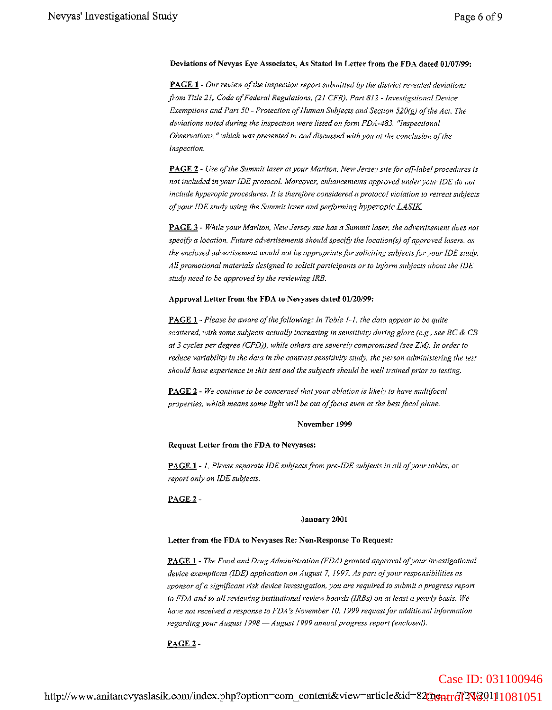#### **Deviations** of Nevyas **Eye Associates, As Stated In Letter from the FDA dated 01/07/99:**

**PAGE 1 -** *Our review a/the inspection report submitted by the district revealed deviations from Title* 21, *Code a/Federal Regulations,* (21 *CFR), Part* 8/2 *-lnvestigstional Device Exemptions and Part 50* - *Protection ofHuman Subjects and Section 520(g) ofthe Act. The deviations noted during the inspection were listed on/arm FDA-483. "lnspectional Obsen:ations,* ff *which \.vas presented to and discussed with you at the conclusion a/the inspection.*

**PAGE 2** - *Use ofthe Summit laser at your Marlton, Ne'lt' Jersey sitefor o.fFlabel procedures is not included in your IDE protocol. Moreover, enhancements approved under your IDE do not include hyperopic procedures. It is therefore considered a protocol vioLation to retreat subjects ofyour IDE study using the Summit laser and performing hyperopic LASIK.*

**PAGE 3** - *While your Marlton, New Jersey site has a Summit laser, the advertisement does not specify a location. Future advertisements should specify the location(s) ofapproved lasers, as the enclosed advertisement would not be appropriate for soliciting subjects for your IDE study. All promotional materials designed to solicit participants or to inform subjects abollt the IDE study need to be approved by the reviewing iRE.*

#### Approval Letter from the FDA to Nevyases dated *01120/99:*

**PAGE 1** - Please be aware of the following: In Table 1-1, the data appear to be quite *scattered, with some subjects actually increasing in sensitivity during glare (e.g., see* Be & *CB at* 3 *cycles per degree (CPD)), while others are severely compromised (see ZM). In order to reduce variability in the data in the contrast sensitivity study, the person administering the test should have experience in this test and the subjects should be well trained prior to testing.*

**PAGE 2** - *We continue to be concerned that your ablation is likely to have multi/ocal properties, which means some light will be out ofJoClls even at the best/oeal plane.*

#### **November 1999**

**Request Letter from the FDA to Nevyases:**

**PAGE 1 -** 1. *Please separate IDE subjectsfrom pre-IDE subjects in all ofyour tables, or report only on IDE subjects.*

#### PAGE 2 -

#### **January 2001**

#### **Letter from the FDA to Nevyases Re: Non-Response To Request:**

**PAGE 1 -** *The Food and Drug Administration (FDA) granted approval ofyour investigational device exemptions (IDE) application on August* 7, i 997. *As part 0.(your responsibilities as sponsor ofa significant risk device investigation, you are required to submit a progress report to FDA and to all reviewing institutional review boards (iRBs) on at least a yearly basis. We have not received a response to FDA's November 10, 1999 request for additional information regarding your August* /998 - *August* 1999 *annual progress report (enc:losed).*

#### PAGE 2-

## http://www.anitanevyaslasik.com/index.php?option=com\_content&view=article&id=82006ntr6l2W699111081051 Case ID: 031100946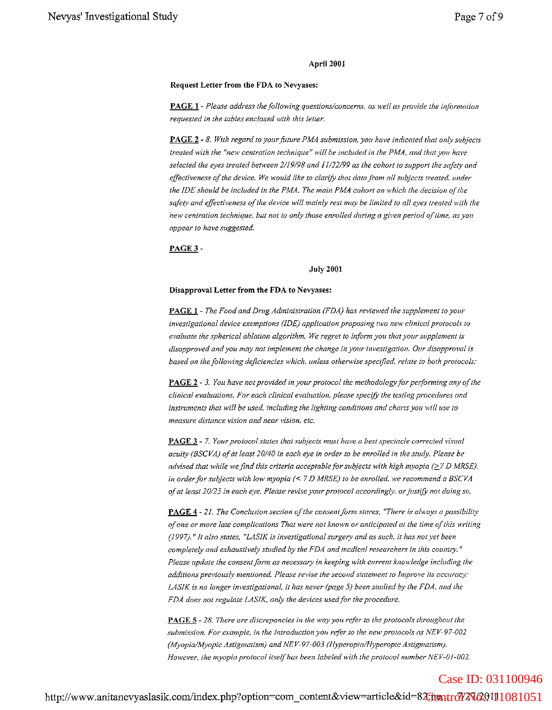#### April 2001

#### **Request Letter from the FDA to Nevyases:**

**PAGE 1** - Please address the following questions/concerns, as well as provide the information *requested in the tables enclosed with this letter.*

**PAGE 2 -** 8. *With regard to yourfuture* PI'vfA *submission, you have indicated that only subjects treated with the "new centration technique" will be included in the PMA, and that* yOll *have selected the eyes treated benveen 2/19198 and* 1//22/99 *as the cohort to support the safety and effectiveness a/the device. We would like to clarifY that data from all subjects treated. under the IDE should be included in the PMA. The main PMA cohort on which the decision o/the safety and effectiveness a/the device will mainly rest may be limited to all eyes treated with the new centration technique. but not to only those enrolled during a given period o/time, as you appear to have suggested.*

PAGE 3 -

#### July 2001

#### **Disapproval Letter from the FDA to Nevyases:**

**PAGE 1** - *The Food and Drug Administration (FDA) has reviewed the supplement 10 yOllr investigational device exemptions* (IDE) *application proposing two new clinical protocols to evaluate the spherical ablation algorithm. We regret to inform you that your supplement is disapproved and you may not implement the change in your investigation. Our disapproFaI is based on the following deficiencies which, unless othent'ise specified. relate to both protocols:*

**PAGE 2** - 3. *You have not provided in your protocol the methodologyfor pe/forming any ofthe clinical evaluations. For each clinical evaluation, please spec(fy the testing procedures and instrnments that will be used, including the lighting conditions and charts you will use to measure distance vision and near vision, etc.*

**PAGE** 3 - 7. *Your protocol states that subjects must have a best spectacle corrected visual acuity (SSCVA) 0/at least 20/40 in each eye in order to be enrolled in the study. Please be advised that while we find this criteria Clcceptab/e for subjects with high myopia* (~7 *D MRSE). in orderfor subjects with low myopia* « <sup>7</sup> *<sup>D</sup> MRSE) to be enrolled. we recommend <sup>a</sup> BSCVA ofat least 20/25 in each eye. Plei:J.se revise your protocol accordingly. orjustifY not doing so.*

**PAGE 4** - 21. *The Conclusion section ofthe consentform stares, "There is al"vays a possibility ofone or more late complications That were not known or anticipated at the time ofthis writing (1997).* f/ *It a/so states, "LASIK is investigational surgery and as such. it has not yet been completely and exhaustively studied by the FDA and medical researchers in this cOllntry. " Please update the consentform as necessary in keeping with current knowledge including the additions previously mentioned. Please revise the second statement to Improve its accuracy: LASIK is no longer investigational, it has never (page* 5) *been studied by the FDA, alld the FDA does not regulate LASIK, only the devices used/or the procedure.*

**PAGE** 5 - 28. There are discrepancies in the way you refer to the protocols throughout the *submission. For example, in the Introduction you refer to the new protocols as NEV-97-002 (Myopia/Myopic Astigmatism) and NEV-97-003 (Hyperopia/Hyperopic Astigmatismj. However, the myopia protocol itselfhas been labeled with the protocol number NEV-01-002.*

http://www.anitanevyaslasik.com/index.php?option=com\_content&view=article&id=82<del>00ntr6l/2N69</del>9111081051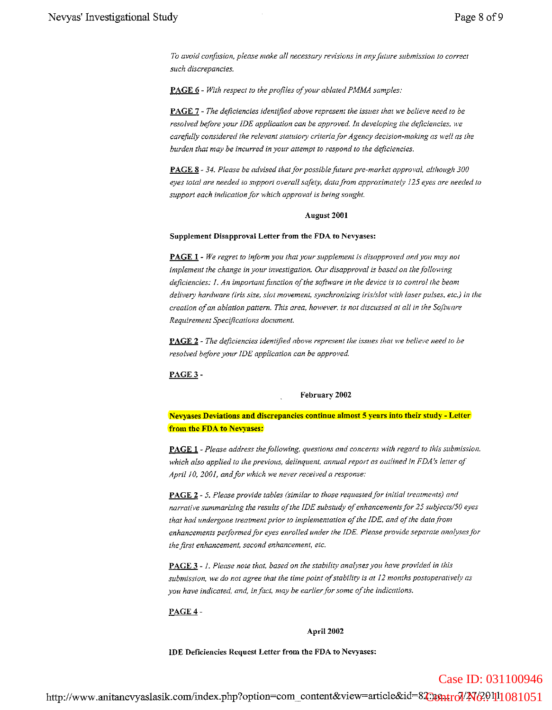*To avoid confusion, please make all necessary revisions in (lny future submission* 10 *correct such discrepancies.*

PAGE 6 - *With respect to the profiles ofyour ablated PMMA samples:*

PAGE 7 - *The deficiencies identified above represent the issues that we believe need to be resolved before your IDE application can be approved. In developing the deficiencies. we* car~fitlly *considered the relevant statu/oly criteria/or Agency decision-making as weLl as the burden that may be incurred in your attempt to respond to the defiCiencies.*

PAGE 8 - 34. *Please be advised that for possiblefuture pre-market approval, although 300 eyes total are needed to support overall safety, data/rom approximately* 125 *eyes are needed /0 support each indication/or which approval is being sought.*

#### August 2001

#### Supplement Disapproval Letter from the FDA to Nevyases:

PAGE 1 - *We regret to inform you that your supplement is disapproved and you may not implement the change in your investigation. Our disapproval is based on thefollml'ing defiCiencies:* J. *An important/unction a/the sofrn:are in the device is to control the beam delivery hardware (iris size, slot movement, synchronizing iris/slot 'with laser pulses. etc.) in the creation 0/an ablation pattern. This area, however. is not discllssed at all in the Sofiware Requirement Specifications document.*

PAGE 2 - *The defiCiencies identified above represent the issues that we beliel'€ need to be resolved before your IDE application can be approved.*

PAGE3-

#### February 2002

Nevyases Deviations and discrepancies continue almost 5 years into their study - Letter from the FDA to Nevyases:

PAGE 1- *Please address the/allowing, questions and concerns with regard to this submission. which also applied to the previous, delinquent, annual report as outlined in FDA* ~S' *letter of April 10, 2001, andfor which we never received a response:*

**PAGE 2** - 5. Please provide tables (similar to those requested for initial treatments) and *narrative summarizing the results ofthe IDE substudy ofenhancementsjor* 25 *subjects/50 eyes that had undergone treatment prior to implementation o/the IDE. and o/the data from enhancements performedfor eyes enrolled under the IDE. Please prOVide separate analysesjor the first enhancement, second enhancement, etc.* 

PAGE 3 - *1. Please note that, based on the stability analyses you have provided in this submission, we do not agree that the time point ofstability is at 12 months postoperatively as you have indicated, and, infact, may be earlierforsome a/the indications.*

#### PAGE4-

#### April 2002

IDE Deficiencies Request Letter from the FDA to Nevyases: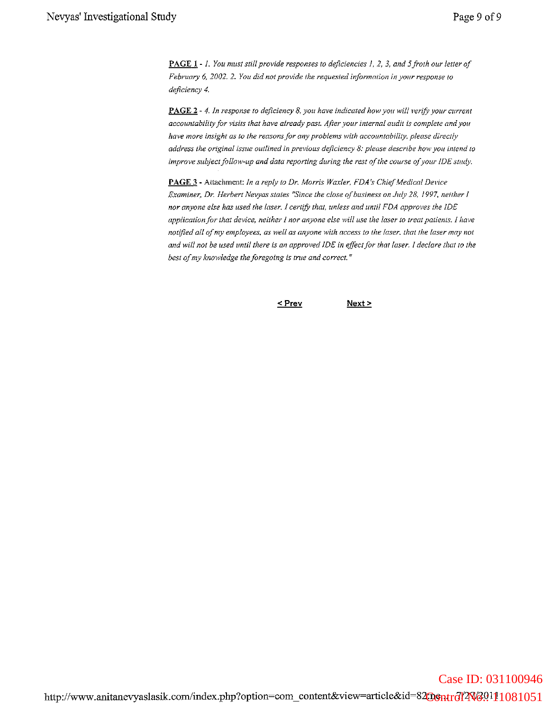**PAGE 1 -** 1. *YOll must still provide responses to deficiencies 1,* 2, 3, *and* <sup>j</sup> *froth our letter of February* 6, *2002.* 2. YOll *did not provide the requested information in* YOllr *response to deficiency 4.*

**PAGE 2** - 4. *In response to deficiency* 8, *you have indicated how*yOIt *will verify your current accountability for visits that have already past. After your internal audit is complete and you have more insight as to the reasons/or any problems with accountability, please directly address the original issue outlined in previous deficiency* 8: *please describe how you intend to improve subject follow-up* and *data reporting during* the *rest* of the *course* of your IDE study.

**PAGE 3 -** Attachment: *In a reply to Dr. Morris Waxler, FDA's Chief Medical Device Examiner, Dr. Herbert Nevyas states "Since the close ofbusiness on July* 28, *1997. neither I nor anyone else has used the laser. I certifY that, unless and until FDA approves the IDE application for that device, neither I nor anyone else willltse the laser to treat patients. 1 have notified all ofmy employees. as well as anyone with access to the laser. that the laser may not* and will not be used until there is an approved IDE in effect for that laser. I declare that to the *best ofmy knowledge the foregoing is tnle and correct. "*

```
< Prev
```
 $Next >$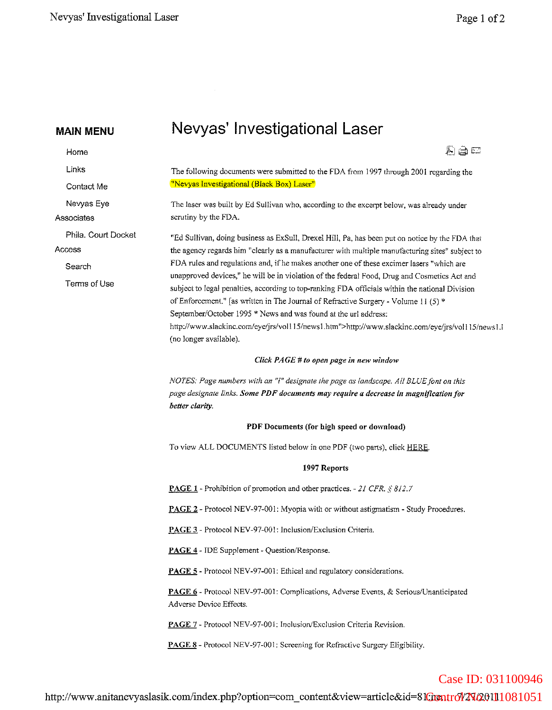$\sim$ 

| <b>MAIN MENU</b>                                        | Nevyas' Investigational Laser                                                                                                                                                                                                                                                                                                                                                                                                                                                                                                                                                                                                                                                                                                                                                              |
|---------------------------------------------------------|--------------------------------------------------------------------------------------------------------------------------------------------------------------------------------------------------------------------------------------------------------------------------------------------------------------------------------------------------------------------------------------------------------------------------------------------------------------------------------------------------------------------------------------------------------------------------------------------------------------------------------------------------------------------------------------------------------------------------------------------------------------------------------------------|
| Home                                                    | 친글드                                                                                                                                                                                                                                                                                                                                                                                                                                                                                                                                                                                                                                                                                                                                                                                        |
| Links<br>Contact Me                                     | The following documents were submitted to the FDA from 1997 through 2001 regarding the<br>"Nevyas Investigational (Black Box) Laser"                                                                                                                                                                                                                                                                                                                                                                                                                                                                                                                                                                                                                                                       |
| Nevyas Eye<br>Associates                                | The laser was built by Ed Sullivan who, according to the excerpt below, was already under<br>scrutiny by the FDA.                                                                                                                                                                                                                                                                                                                                                                                                                                                                                                                                                                                                                                                                          |
| Phila. Court Docket<br>Access<br>Search<br>Terms of Use | "Ed Sullivan, doing business as ExSull, Drexel Hill, Pa, has been put on notice by the FDA that<br>the agency regards him "clearly as a manufacturer with multiple manufacturing sites" subject to<br>FDA rules and regulations and, if he makes another one of these excimer lasers "which are<br>unapproved devices," he will be in violation of the federal Food, Drug and Cosmetics Act and<br>subject to legal penalties, according to top-ranking FDA officials within the national Division<br>of Enforcement." [as written in The Journal of Refractive Surgery - Volume 11 (5) *<br>September/October 1995 * News and was found at the url address:<br>http://www.slackinc.com/eye/jrs/vol115/news1.htm">http://www.slackinc.com/eye/jrs/vol115/news1.1<br>(no longer available). |
|                                                         | Click PAGE # to open page in new window                                                                                                                                                                                                                                                                                                                                                                                                                                                                                                                                                                                                                                                                                                                                                    |
|                                                         | NOTES: Page numbers with an "l" designate the page as landscape. All BLUE font on this<br>page designate links. Some PDF documents may require a decrease in magnification for<br>better clarity.                                                                                                                                                                                                                                                                                                                                                                                                                                                                                                                                                                                          |
|                                                         | PDF Documents (for high speed or download)                                                                                                                                                                                                                                                                                                                                                                                                                                                                                                                                                                                                                                                                                                                                                 |
|                                                         | To view ALL DOCUMENTS listed below in one PDF (two parts), click HERE.                                                                                                                                                                                                                                                                                                                                                                                                                                                                                                                                                                                                                                                                                                                     |
|                                                         | 1997 Reports                                                                                                                                                                                                                                                                                                                                                                                                                                                                                                                                                                                                                                                                                                                                                                               |
|                                                         | <b>PAGE 1</b> - Prohibition of promotion and other practices. - 21 CFR. § 812.7                                                                                                                                                                                                                                                                                                                                                                                                                                                                                                                                                                                                                                                                                                            |
|                                                         | PAGE 2 - Protocol NEV-97-001: Myopia with or without astigmatism - Study Procedures.                                                                                                                                                                                                                                                                                                                                                                                                                                                                                                                                                                                                                                                                                                       |
|                                                         | PAGE 3 - Protocol NEV-97-001: Inclusion/Exclusion Criteria.                                                                                                                                                                                                                                                                                                                                                                                                                                                                                                                                                                                                                                                                                                                                |
|                                                         | PAGE 4 - IDE Supplement - Question/Response.                                                                                                                                                                                                                                                                                                                                                                                                                                                                                                                                                                                                                                                                                                                                               |
|                                                         | <b>PAGE 5</b> - Protocol NEV-97-001: Ethical and regulatory considerations.                                                                                                                                                                                                                                                                                                                                                                                                                                                                                                                                                                                                                                                                                                                |
|                                                         | PAGE 6 - Protocol NEV-97-001: Complications, Adverse Events, & Serious/Unanticipated<br>Adverse Device Effects.                                                                                                                                                                                                                                                                                                                                                                                                                                                                                                                                                                                                                                                                            |
|                                                         | PAGE 7 - Protocol NEV-97-001: Inclusion/Exclusion Criteria Revision.                                                                                                                                                                                                                                                                                                                                                                                                                                                                                                                                                                                                                                                                                                                       |
|                                                         | PAGE 8 - Protocol NEV-97-001: Screening for Refractive Surgery Eligibility.                                                                                                                                                                                                                                                                                                                                                                                                                                                                                                                                                                                                                                                                                                                |

## Case ID: 031100946

http://www.anitanevyaslasik.comlindex.php?option=com\_content&view=article&id=81 :ne.., 7/27/2011 Control No.: 11081051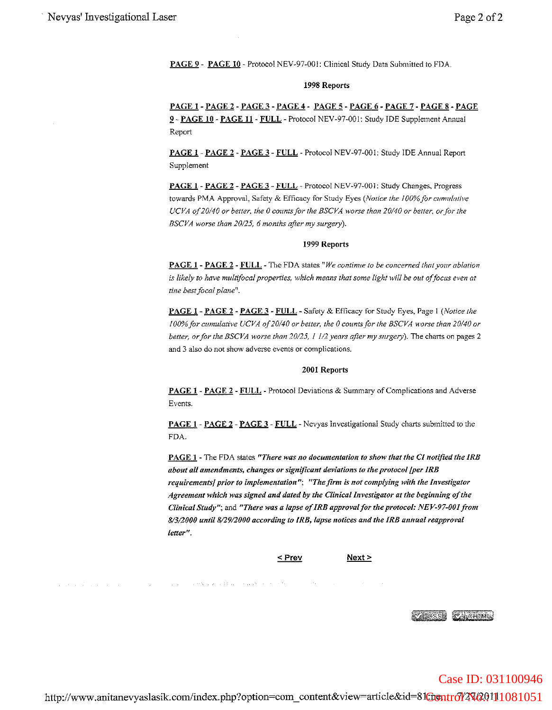PAGE 9 - PAGE 10 - Protocol NEV-97-001: Clinical Study Data Submitted to FDA.

#### 1998 Reports

PAGEI-PAGE2-PAGE3-PAGE4- PAGE5-PAGE6-PAGE7-PAGE8-PAGE 9 - PAGE 10 - PAGE 11 - FULL - Protocol NEV-97-001: Study IDE Supplement Annual Report

PAGE 1- PAGE 2 - PAGE 3 - FULL - Protocol NEV-97-001: Study IDE Annual Report Supplement

PAGE 1- PAGE 2 - PAGE 3 - FULL - Protocol NEV-97-001: Study Changes, Progress towards PMA Approval, Safety & Efficacy for Study Eyes *(Notice the 100%for cumulative UCVA 0/20/40 or better, the 0 counts/or the BSCVA worse than 20140 or belter, orjor the BSCVA worse than 20125,* 6 *months after my surgery).*

#### 1999 Reports

PAGE 1 - PAGE 2 - FULL - The FDA states" *We continue to be concerned 1hal YOllr ablation is likely to have multifacal properties. which means that some light will be* Ollt *offocus even at*  $time$  *best focal plane"*.

PAGE 1 - PAGE 2 - PAGE 3 - FULL - Safety & Efficacy for Study Eyes, Page I *(Notice the IOO%for cumulative UCVA 0/20/40 or beiter, the 0 counts/or the BSCVA worse than 20140 or better, orjOr the BSCVA worse than 20/25,* 1 1/2 *years after my surgery).* The charts on pages 2 and 3 also do not show adverse events or complications.

#### 2001 Reports

PAGE 1- PAGE 2 - FULL - Protocol Deviations & Summary of Complications and Adverse Events.

PAGE 1 - PAGE 2 - PAGE 3 - FULL - Nevyas Investigational Study charts submitted to the FDA.

PAGE 1 - The FDA states *"There was* <sup>110</sup> *documentation to show that the Cll10tified the IRS about all amendments, changes or significant deviations to the protocol/per IRB requirements/ priorto implementation"; "The firm is not complying with the Investigator Agreement which was signed and dated by the Clinical Investigator at the beginning ofthe Clinical Study";* and *"There was a lapse ofIRB approval/or the protocol: NEV-97-001 from 8/3/2000 until 812912000 according to IRB, lapse notices and the IRB annual reapproval letter".*



consequently and consequent

 $Next >$ 



#### Case ID: 031100946

http://www.anitanevyaslasik.com/index.php?option=com\_content&view=article&id=81<del>@ontrol 40.00111081051</del>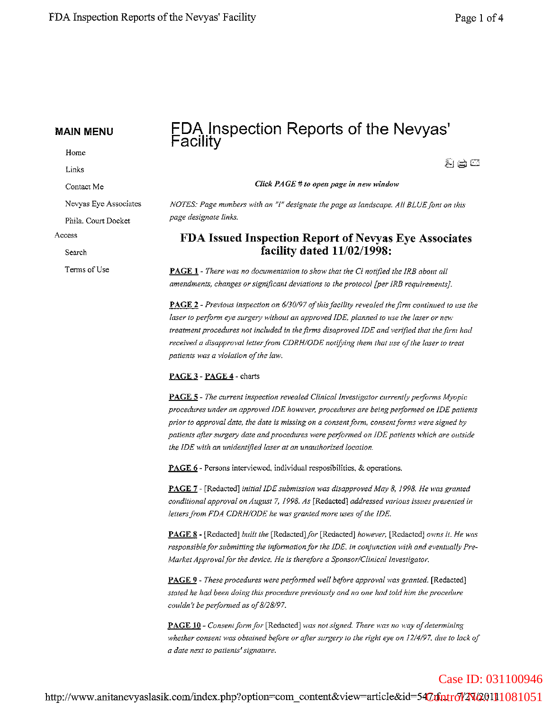Home

Links

Contact Me

Nevyas Eye Associates

Phila. Court Docket

Access

Search

Terms of Use

## FDA Inspection Reports of the Nevyas' Facility

 $\mathcal{F}_1 \not \rightrightarrows \Box$ 

Case ID: 031100946

*Click PAGE #10 open page in new window*

*NOTES: Page numbers with an "I" designate the page as landscape. All BLUE/ont on this page designate links.*

## FDA Issued Inspection Report of Nevyas Eye Associates facility dated 11/02/1998:

PAGE 1 - *There was no documentation to show that the Cl not{{ied the IRS aboUl all amendments, changes or significant deviations to the protocol [per IRE requirements).*

PAGE 2 - *Previous inspection on 6/30/97 ofthisfacility revealed the firm continued to use the laser* to perform eye surgery without an approved IDE, planned to use the laser or new *treatment procedures not included in thefirms disaproved IDE and verified that the firm had received a disapproval letterfrom CDRH/ODE notifying them that use ofthe laser to treat*  $p$ *atients* was a violation of the law.

#### PAGE 3 - PAGE 4 - charts

PAGE 5 - *The current inspection revealed Clinical Investigator currently peiforms Myopic procedures under an approved IDE however, procedures are being performed on IDE patients priorto approval date, the date is missing on a consent/orm, consentforms were signed by patients afler surgery date andprocedures were peiformed on IDE patients which are outside the IDE with an unidentified laser at an unauthorized location.*

PAGE 6 - Persons interviewed, individual resposibilities, & operations.

PAGE 7 - [Redacted] *initial IDE submission was disapproved May* 8, J998. *He was granted conditional approval on August* 7, *1998. As* [Redacted] *addressed various issues presented in lettersfrom FDA CDRH/ODE he was granted more uses ofthe IDE.*

PAGE 8 - [Redacted] *built the [Redacted]for* [Redacted] *however,* [Redacted] *on'ns it. He }vas responsibleforsubmitting the information for the IDE, in conjunction with and eventually Pre-Market Approvalfor the device. He is therefore a Sponsor/Clinienllnvestigator.*

PAGE 9 - *These procedures were pe;formecl well before approval was granted.* [Redacted] *stated he had been doing this procedure previously and no one had told him the procedure couldn't be perfonned as of8/28/97.*

PAGE 10 - *Consent form for* [Redacted] *was not signed. There was no way ofdetermining whether consent was obtained before or after surgery to the right eye on* 12/4/97, *due to lack of a date next to patients'signature.*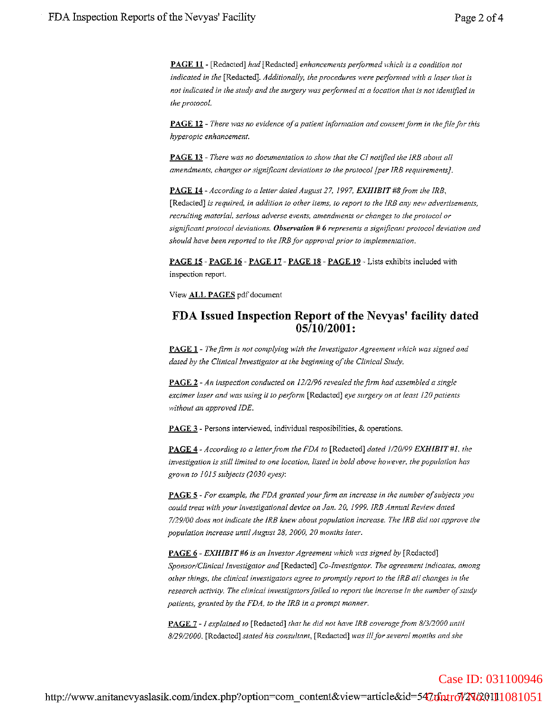PAGE 11 - [Redacted] *had* [Redacted] *enhancements performed which is a condition not indicated in the* [Redacted]. *Additionally, the procedures were performed with a laser that is not indicated in the study and the surgery was peiformed at a location that is not identified in the protocol.*

PAGE 12 - *There was no evidence ofa patient information and consentjorm in thejileforthis hyperopic enhancement.*

PAGE 13 - *There was no documentation to show that the CI notified the IRS about all amendments, changes orsignificant deviations to the protocol [per IRS requirements).*

PAGE 14 - *According to a letter dated August* 27, 1997, *EXHIBIT#8/rom the IRB,* [Redacted] is required, in addition to other items, to report to the IRB any new advertisements, *recrniting material, serious adverse events, amendments or changes to the protocol or significant protocol deviations. Observation* # 6 *represents (l significant protocol deviation and should have been reported to the IRB for approval prior to implementation.*

PAGE 15 - PAGE 16 - PAGE 17 - PAGE 18 - PAGE 19 - Lists exhibits included with inspection report.

View ALL PAGES pdf document

#### FDA Issued Inspection Report of the Nevyas' facility dated 05/10/2001:

PAGE I - *The firm is not complying with the Investigator Agreement 'r1'hich was signed and dated by the Clinical Investigator at the beginning ofthe Clinical* Sllldy.

PAGE 2 - *An inspection conducted on* 12/2/96 *revealed thefirm had assembled a single excimer laser and was using it to peiform* [Redacted] *eye surgery on at least 120 patients without an approved IDE.*

PAGE 3 - Persons interviewed, individual resposibilities, & operations.

PAGE 4 - *According to a letterfrom the FDA to* [Redacted] *dated 1/20/99 EXHIBIT #1. the investigation is still limited to one location, listed in bold above however, the population has grown to 1015 subjects (2030 eyes):*

**PAGE 5** - For example, the FDA granted your firm an increase in the number of subjects you *could treat with your investigational device on Jan. 20,* 1999. *IRB Annual Review dated 7/29/00 does not indicate the IRB knew about population increase. The IRB did flot approve the population increase until August* 28, *2000, 20 months later.*

PAGE 6 - *EXHIBIT#6 is an Investor Agreement which was signed by* [Redacted] *Sponsor/Clinical Investigator and* [Redacted] *Co-Investigator. The agreement indicates,. among other things, the clinical investigators agree to promptly report to the IRB a/I changes in the research activity. The clinical investigatorsfailed to report the increase in the /lumber 0.(sllldy patients, granted by the FDA, to the IRB in a prompt manner.*

PAGE 7 - I explained to [Redacted] that he did not have IRB coverage from 8/3/2000 until *8/29/2000.* [Redacted] *stated his consultant,* [Redacted] *was illforseveral months and she*

## http://www.anitanevyaslasik.com/index.php?option=com\_content&view=article&id=547:f6ntr6l'4N69.0111081051 Case ID: 031100946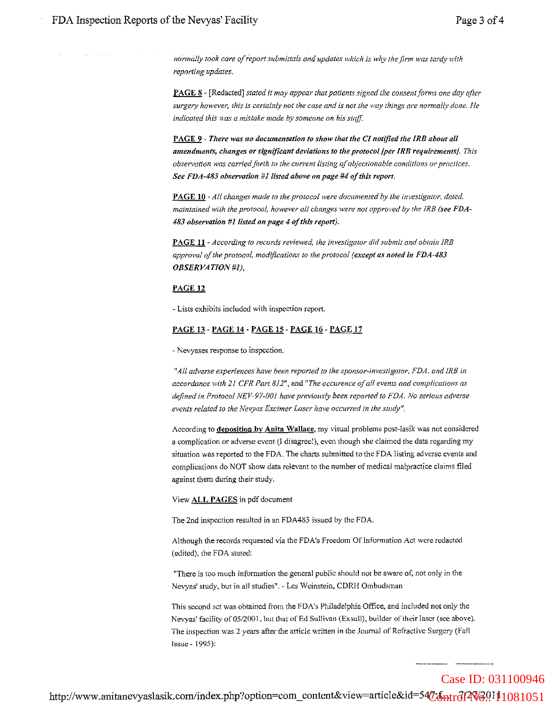*normitlly took care a/report submittals and updates which is why the firm was tardy with reporting updates.*

PAGE 8 - [Redacted] *stated* it *may appear that patients signed the consent/arms one day after surgery however, this is certainly not the case and is not the }vay things are normally done. He indicated this was a mistake made by someone on his stajJ:*

PAGE 9 - *There was no documentation to show that the CI notified the IRB about all amendments, changes or significant deviations to the protocol/per IRB requirementsJ. This observation was carriedforth to the current listing a/objectionable conditions or practices. See FDA-483 observation* #1 *listed above on page* #4 *ofthis report.*

PAGE **10** - *All changes made to the protocol were documented by the investigator, dated, maintained with the protocol, however all changes were not approved by the IRB (see FDA-*483 *observation* #1 *listed on page* 4 *o/this reporl).*

PAGE 11 - *According to records reviewed, the investigator did submit and obtain IRB approval ofthe protocol, modifications to the protocol (except as noted in* FDA-483 *OBSERVATlON#l),*

#### PAGE 12

- Lists exhibits included with inspection report.

#### PAGE 13 - PAGE 14 - PAGE 15 - PAGE 16 - PAGE 17

- Nevyases response to inspection.

*t!All adverse experiences have been reported to the sponsor-investigator, FDA, and IRS in accordance with 21 CFR Part BI2l!,* and *flThe occurence ofall events and complications as defined in Protocol NEV-97-00I have previously been reported to FDA. No serious adverse events related to the Nevyas Excimer Laser have occurred in the study".*

According to **deposition by Anita Wallace**, my visual problems post-lasik was not considered a complication or adverse event (1 disagree!), even though she claimed the data regarding my situation was reported to the FDA, The charts submitted to the FDA listing adverse events and complications do NOT show data relevant to the number of medical malpractice claims filed against them during their study.

View ALL PAGES in pdf document

The 2nd inspection resulted in an FDA483 issued by the FDA.

Although the records requested via the FDNs Freedom Of Infonnation Act were redacted (edited), the FDA stated:

"There is too much information the general public should not be aware of, not only in the Nevyas' study, but in all studies". - Les Weinstein, CDRH Ombudsman

This second sct was obtained from the FDA's Philadelphia Office, and included not only the Nevyas' facility of 05/2001, but that of Ed Sullivan (Exsull), builder of their laser (see above). The inspection was 2 years after the article written in the Journal of Refractive Surgery (Fall Issue - 1995):

http://www.anitanevyaslasik.com/index.php?option=com\_content&view=article&id=54<del>7\%[6pt</del>rd]4V60.111081051